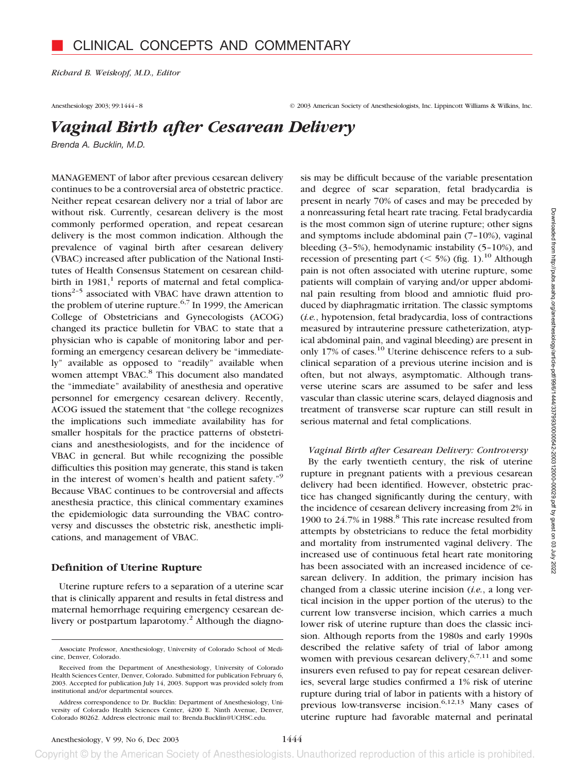*Richard B. Weiskopf, M.D., Editor*

Anesthesiology 2003; 99:1444–8 © 2003 American Society of Anesthesiologists, Inc. Lippincott Williams & Wilkins, Inc.

# *Vaginal Birth after Cesarean Delivery*

*Brenda A. Bucklin, M.D.*

MANAGEMENT of labor after previous cesarean delivery continues to be a controversial area of obstetric practice. Neither repeat cesarean delivery nor a trial of labor are without risk. Currently, cesarean delivery is the most commonly performed operation, and repeat cesarean delivery is the most common indication. Although the prevalence of vaginal birth after cesarean delivery (VBAC) increased after publication of the National Institutes of Health Consensus Statement on cesarean childbirth in  $1981$ ,<sup>1</sup> reports of maternal and fetal complications<sup>2-5</sup> associated with VBAC have drawn attention to the problem of uterine rupture.<sup>6,7</sup> In 1999, the American College of Obstetricians and Gynecologists (ACOG) changed its practice bulletin for VBAC to state that a physician who is capable of monitoring labor and performing an emergency cesarean delivery be "immediately" available as opposed to "readily" available when women attempt VBAC.<sup>8</sup> This document also mandated the "immediate" availability of anesthesia and operative personnel for emergency cesarean delivery. Recently, ACOG issued the statement that "the college recognizes the implications such immediate availability has for smaller hospitals for the practice patterns of obstetricians and anesthesiologists, and for the incidence of VBAC in general. But while recognizing the possible difficulties this position may generate, this stand is taken in the interest of women's health and patient safety."9 Because VBAC continues to be controversial and affects anesthesia practice, this clinical commentary examines the epidemiologic data surrounding the VBAC controversy and discusses the obstetric risk, anesthetic implications, and management of VBAC.

# **Definition of Uterine Rupture**

Uterine rupture refers to a separation of a uterine scar that is clinically apparent and results in fetal distress and maternal hemorrhage requiring emergency cesarean delivery or postpartum laparotomy.<sup>2</sup> Although the diagnosis may be difficult because of the variable presentation and degree of scar separation, fetal bradycardia is present in nearly 70% of cases and may be preceded by a nonreassuring fetal heart rate tracing. Fetal bradycardia is the most common sign of uterine rupture; other signs and symptoms include abdominal pain (7–10%), vaginal bleeding (3–5%), hemodynamic instability (5–10%), and recession of presenting part ( $\leq$  5%) (fig. 1).<sup>10</sup> Although pain is not often associated with uterine rupture, some patients will complain of varying and/or upper abdominal pain resulting from blood and amniotic fluid produced by diaphragmatic irritation. The classic symptoms (*i.e.*, hypotension, fetal bradycardia, loss of contractions measured by intrauterine pressure catheterization, atypical abdominal pain, and vaginal bleeding) are present in only 17% of cases.<sup>10</sup> Uterine dehiscence refers to a subclinical separation of a previous uterine incision and is often, but not always, asymptomatic. Although transverse uterine scars are assumed to be safer and less vascular than classic uterine scars, delayed diagnosis and treatment of transverse scar rupture can still result in serious maternal and fetal complications.

# *Vaginal Birth after Cesarean Delivery: Controversy*

By the early twentieth century, the risk of uterine rupture in pregnant patients with a previous cesarean delivery had been identified. However, obstetric practice has changed significantly during the century, with the incidence of cesarean delivery increasing from 2% in 1900 to 24.7% in 1988.<sup>8</sup> This rate increase resulted from attempts by obstetricians to reduce the fetal morbidity and mortality from instrumented vaginal delivery. The increased use of continuous fetal heart rate monitoring has been associated with an increased incidence of cesarean delivery. In addition, the primary incision has changed from a classic uterine incision (*i.e.*, a long vertical incision in the upper portion of the uterus) to the current low transverse incision, which carries a much lower risk of uterine rupture than does the classic incision. Although reports from the 1980s and early 1990s described the relative safety of trial of labor among women with previous cesarean delivery,  $6,7,11$  and some insurers even refused to pay for repeat cesarean deliveries, several large studies confirmed a 1% risk of uterine rupture during trial of labor in patients with a history of previous low-transverse incision.<sup>6,12,13</sup> Many cases of uterine rupture had favorable maternal and perinatal

Associate Professor, Anesthesiology, University of Colorado School of Medicine, Denver, Colorado.

Received from the Department of Anesthesiology, University of Colorado Health Sciences Center, Denver, Colorado. Submitted for publication February 6, 2003. Accepted for publication July 14, 2003. Support was provided solely from institutional and/or departmental sources.

Address correspondence to Dr. Bucklin: Department of Anesthesiology, University of Colorado Health Sciences Center, 4200 E. Ninth Avenue, Denver, Colorado 80262. Address electronic mail to: Brenda.Bucklin@UCHSC.edu.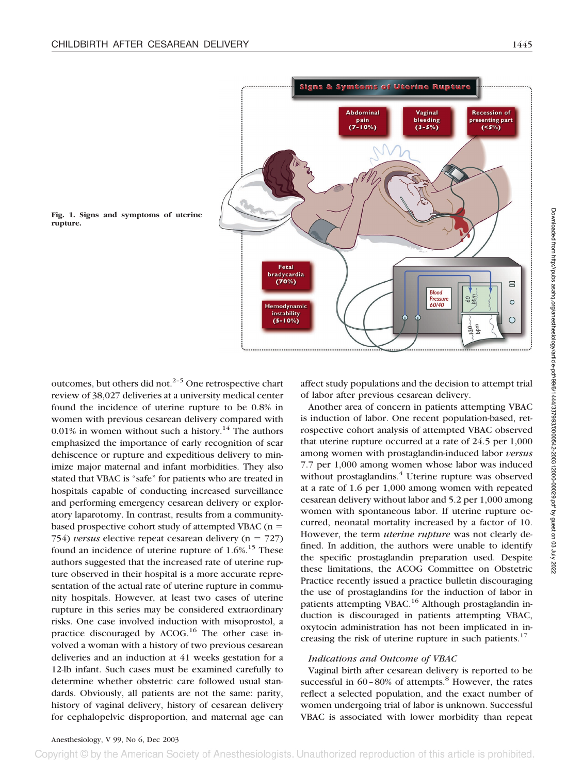

**Fig. 1. Signs and symptoms of uterine rupture.**

outcomes, but others did not. $2-5$  One retrospective chart review of 38,027 deliveries at a university medical center found the incidence of uterine rupture to be 0.8% in women with previous cesarean delivery compared with 0.01% in women without such a history.<sup>14</sup> The authors emphasized the importance of early recognition of scar dehiscence or rupture and expeditious delivery to minimize major maternal and infant morbidities. They also stated that VBAC is "safe" for patients who are treated in hospitals capable of conducting increased surveillance and performing emergency cesarean delivery or exploratory laparotomy. In contrast, results from a communitybased prospective cohort study of attempted VBAC ( $n =$ 754) *versus* elective repeat cesarean delivery  $(n = 727)$ found an incidence of uterine rupture of  $1.6\%$ .<sup>15</sup> These authors suggested that the increased rate of uterine rupture observed in their hospital is a more accurate representation of the actual rate of uterine rupture in community hospitals. However, at least two cases of uterine rupture in this series may be considered extraordinary risks. One case involved induction with misoprostol, a practice discouraged by ACOG.<sup>16</sup> The other case involved a woman with a history of two previous cesarean deliveries and an induction at 41 weeks gestation for a 12-lb infant. Such cases must be examined carefully to determine whether obstetric care followed usual standards. Obviously, all patients are not the same: parity, history of vaginal delivery, history of cesarean delivery for cephalopelvic disproportion, and maternal age can

affect study populations and the decision to attempt trial of labor after previous cesarean delivery.

Another area of concern in patients attempting VBAC is induction of labor. One recent population-based, retrospective cohort analysis of attempted VBAC observed that uterine rupture occurred at a rate of 24.5 per 1,000 among women with prostaglandin-induced labor *versus* 7.7 per 1,000 among women whose labor was induced without prostaglandins.<sup>4</sup> Uterine rupture was observed at a rate of 1.6 per 1,000 among women with repeated cesarean delivery without labor and 5.2 per 1,000 among women with spontaneous labor. If uterine rupture occurred, neonatal mortality increased by a factor of 10. However, the term *uterine rupture* was not clearly defined. In addition, the authors were unable to identify the specific prostaglandin preparation used. Despite these limitations, the ACOG Committee on Obstetric Practice recently issued a practice bulletin discouraging the use of prostaglandins for the induction of labor in patients attempting VBAC.<sup>16</sup> Although prostaglandin induction is discouraged in patients attempting VBAC, oxytocin administration has not been implicated in increasing the risk of uterine rupture in such patients. $17$ 

## *Indications and Outcome of VBAC*

Vaginal birth after cesarean delivery is reported to be successful in  $60 - 80\%$  of attempts.<sup>8</sup> However, the rates reflect a selected population, and the exact number of women undergoing trial of labor is unknown. Successful VBAC is associated with lower morbidity than repeat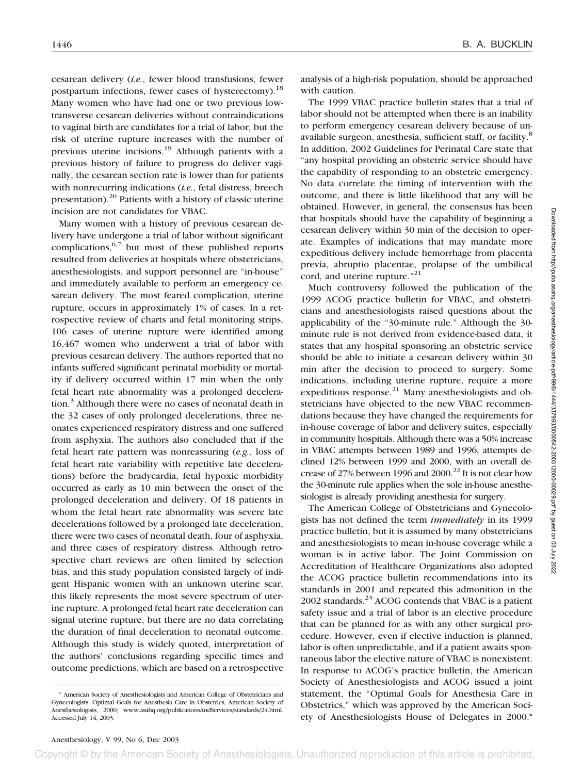cesarean delivery (*i.e.*, fewer blood transfusions, fewer postpartum infections, fewer cases of hysterectomy).<sup>18</sup> Many women who have had one or two previous lowtransverse cesarean deliveries without contraindications to vaginal birth are candidates for a trial of labor, but the risk of uterine rupture increases with the number of previous uterine incisions.19 Although patients with a previous history of failure to progress do deliver vaginally, the cesarean section rate is lower than for patients with nonrecurring indications (*i.e.*, fetal distress, breech presentation).20 Patients with a history of classic uterine incision are not candidates for VBAC.

Many women with a history of previous cesarean delivery have undergone a trial of labor without significant complications,  $6,7$  but most of these published reports resulted from deliveries at hospitals where obstetricians, anesthesiologists, and support personnel are "in-house" and immediately available to perform an emergency cesarean delivery. The most feared complication, uterine rupture, occurs in approximately 1% of cases. In a retrospective review of charts and fetal monitoring strips, 106 cases of uterine rupture were identified among 16,467 women who underwent a trial of labor with previous cesarean delivery. The authors reported that no infants suffered significant perinatal morbidity or mortality if delivery occurred within 17 min when the only fetal heart rate abnormality was a prolonged deceleration.3 Although there were no cases of neonatal death in the 32 cases of only prolonged decelerations, three neonates experienced respiratory distress and one suffered from asphyxia. The authors also concluded that if the fetal heart rate pattern was nonreassuring (*e.g.*, loss of fetal heart rate variability with repetitive late decelerations) before the bradycardia, fetal hypoxic morbidity occurred as early as 10 min between the onset of the prolonged deceleration and delivery. Of 18 patients in whom the fetal heart rate abnormality was severe late decelerations followed by a prolonged late deceleration, there were two cases of neonatal death, four of asphyxia, and three cases of respiratory distress. Although retrospective chart reviews are often limited by selection bias, and this study population consisted largely of indigent Hispanic women with an unknown uterine scar, this likely represents the most severe spectrum of uterine rupture. A prolonged fetal heart rate deceleration can signal uterine rupture, but there are no data correlating the duration of final deceleration to neonatal outcome. Although this study is widely quoted, interpretation of the authors' conclusions regarding specific times and outcome predictions, which are based on a retrospective

analysis of a high-risk population, should be approached with caution.

The 1999 VBAC practice bulletin states that a trial of labor should not be attempted when there is an inability to perform emergency cesarean delivery because of unavailable surgeon, anesthesia, sufficient staff, or facility.<sup>8</sup> In addition, 2002 Guidelines for Perinatal Care state that "any hospital providing an obstetric service should have the capability of responding to an obstetric emergency. No data correlate the timing of intervention with the outcome, and there is little likelihood that any will be obtained. However, in general, the consensus has been that hospitals should have the capability of beginning a cesarean delivery within 30 min of the decision to operate. Examples of indications that may mandate more expeditious delivery include hemorrhage from placenta previa, abruptio placentae, prolapse of the umbilical cord, and uterine rupture."<sup>21</sup>

Much controversy followed the publication of the 1999 ACOG practice bulletin for VBAC, and obstetricians and anesthesiologists raised questions about the applicability of the "30-minute rule." Although the 30 minute rule is not derived from evidence-based data, it states that any hospital sponsoring an obstetric service should be able to initiate a cesarean delivery within 30 min after the decision to proceed to surgery. Some indications, including uterine rupture, require a more expeditious response. $^{21}$  Many anesthesiologists and obstetricians have objected to the new VBAC recommendations because they have changed the requirements for in-house coverage of labor and delivery suites, especially in community hospitals. Although there was a 50% increase in VBAC attempts between 1989 and 1996, attempts declined 12% between 1999 and 2000, with an overall decrease of 27% between 1996 and 2000.<sup>22</sup> It is not clear how the 30-minute rule applies when the sole in-house anesthesiologist is already providing anesthesia for surgery.

The American College of Obstetricians and Gynecologists has not defined the term *immediately* in its 1999 practice bulletin, but it is assumed by many obstetricians and anesthesiologists to mean in-house coverage while a woman is in active labor. The Joint Commission on Accreditation of Healthcare Organizations also adopted the ACOG practice bulletin recommendations into its standards in 2001 and repeated this admonition in the 2002 standards.<sup>23</sup> ACOG contends that VBAC is a patient safety issue and a trial of labor is an elective procedure that can be planned for as with any other surgical procedure. However, even if elective induction is planned, labor is often unpredictable, and if a patient awaits spontaneous labor the elective nature of VBAC is nonexistent. In response to ACOG's practice bulletin, the American Society of Anesthesiologists and ACOG issued a joint statement, the "Optimal Goals for Anesthesia Care in Obstetrics," which was approved by the American Society of Anesthesiologists House of Delegates in 2000.\*

<sup>\*</sup> American Society of Anesthesiologists and American College of Obstetricians and Gynecologists: Optimal Goals for Anesthesia Care in Obstetrics, American Society of Anesthesiologists, 2000; www.asahq.org/publicationsAndServices/standards/24.html. Accessed July 14, 2003.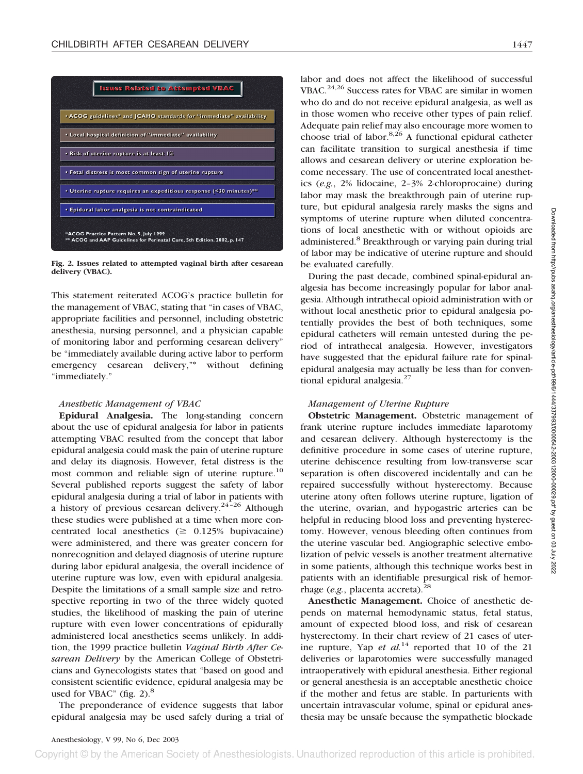

**Fig. 2. Issues related to attempted vaginal birth after cesarean delivery (VBAC).**

This statement reiterated ACOG's practice bulletin for the management of VBAC, stating that "in cases of VBAC, appropriate facilities and personnel, including obstetric anesthesia, nursing personnel, and a physician capable of monitoring labor and performing cesarean delivery" be "immediately available during active labor to perform emergency cesarean delivery,"\* without defining "immediately."

## *Anesthetic Management of VBAC*

**Epidural Analgesia.** The long-standing concern about the use of epidural analgesia for labor in patients attempting VBAC resulted from the concept that labor epidural analgesia could mask the pain of uterine rupture and delay its diagnosis. However, fetal distress is the most common and reliable sign of uterine rupture.<sup>10</sup> Several published reports suggest the safety of labor epidural analgesia during a trial of labor in patients with a history of previous cesarean delivery.<sup>24-26</sup> Although these studies were published at a time when more concentrated local anesthetics ( $\geq 0.125\%$  bupivacaine) were administered, and there was greater concern for nonrecognition and delayed diagnosis of uterine rupture during labor epidural analgesia, the overall incidence of uterine rupture was low, even with epidural analgesia. Despite the limitations of a small sample size and retrospective reporting in two of the three widely quoted studies, the likelihood of masking the pain of uterine rupture with even lower concentrations of epidurally administered local anesthetics seems unlikely. In addition, the 1999 practice bulletin *Vaginal Birth After Cesarean Delivery* by the American College of Obstetricians and Gynecologists states that "based on good and consistent scientific evidence, epidural analgesia may be used for VBAC" (fig.  $2$ ).<sup>8</sup>

The preponderance of evidence suggests that labor epidural analgesia may be used safely during a trial of labor and does not affect the likelihood of successful VBAC.<sup>24,26</sup> Success rates for VBAC are similar in women who do and do not receive epidural analgesia, as well as in those women who receive other types of pain relief. Adequate pain relief may also encourage more women to choose trial of labor. $8,26$  A functional epidural catheter can facilitate transition to surgical anesthesia if time allows and cesarean delivery or uterine exploration become necessary. The use of concentrated local anesthetics (*e.g.*, 2% lidocaine, 2–3% 2-chloroprocaine) during labor may mask the breakthrough pain of uterine rupture, but epidural analgesia rarely masks the signs and symptoms of uterine rupture when diluted concentrations of local anesthetic with or without opioids are administered.<sup>8</sup> Breakthrough or varying pain during trial of labor may be indicative of uterine rupture and should be evaluated carefully.

During the past decade, combined spinal-epidural analgesia has become increasingly popular for labor analgesia. Although intrathecal opioid administration with or without local anesthetic prior to epidural analgesia potentially provides the best of both techniques, some epidural catheters will remain untested during the period of intrathecal analgesia. However, investigators have suggested that the epidural failure rate for spinalepidural analgesia may actually be less than for conventional epidural analgesia. $27$ 

# *Management of Uterine Rupture*

**Obstetric Management.** Obstetric management of frank uterine rupture includes immediate laparotomy and cesarean delivery. Although hysterectomy is the definitive procedure in some cases of uterine rupture, uterine dehiscence resulting from low-transverse scar separation is often discovered incidentally and can be repaired successfully without hysterectomy. Because uterine atony often follows uterine rupture, ligation of the uterine, ovarian, and hypogastric arteries can be helpful in reducing blood loss and preventing hysterectomy. However, venous bleeding often continues from the uterine vascular bed. Angiographic selective embolization of pelvic vessels is another treatment alternative in some patients, although this technique works best in patients with an identifiable presurgical risk of hemorrhage (*e.g.*, placenta accreta).<sup>28</sup>

**Anesthetic Management.** Choice of anesthetic depends on maternal hemodynamic status, fetal status, amount of expected blood loss, and risk of cesarean hysterectomy. In their chart review of 21 cases of uterine rupture, Yap *et al.*<sup>14</sup> reported that 10 of the 21 deliveries or laparotomies were successfully managed intraoperatively with epidural anesthesia. Either regional or general anesthesia is an acceptable anesthetic choice if the mother and fetus are stable. In parturients with uncertain intravascular volume, spinal or epidural anesthesia may be unsafe because the sympathetic blockade